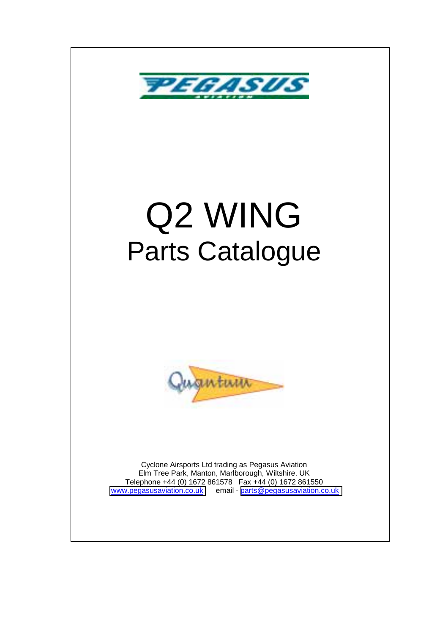

# Q2 WING Parts Catalogue



Cyclone Airsports Ltd trading as Pegasus Aviation Elm Tree Park, Manton, Marlborough, Wiltshire. UK Telephone +44 (0) 1672 861578 Fax +44 (0) 1672 861550 [www.pegasusaviation.co.uk](http://www.pegasusaviation.co.uk/) email - [parts@pegasusaviation.co.uk](mailto:parts@pegasusaviation.co.uk)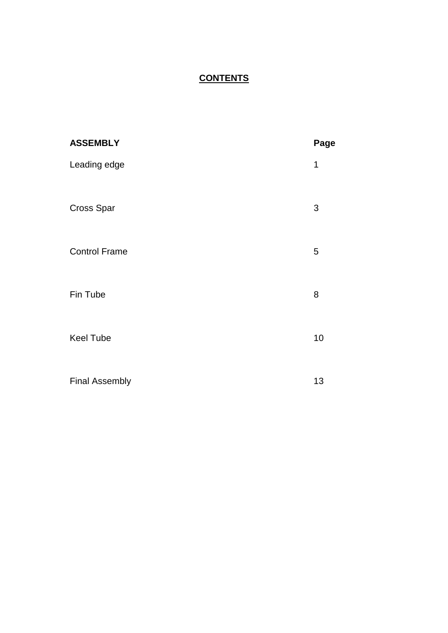#### **CONTENTS**

| <b>ASSEMBLY</b>       | Page |
|-----------------------|------|
| Leading edge          | 1    |
| <b>Cross Spar</b>     | 3    |
| <b>Control Frame</b>  | 5    |
| Fin Tube              | 8    |
| <b>Keel Tube</b>      | 10   |
| <b>Final Assembly</b> | 13   |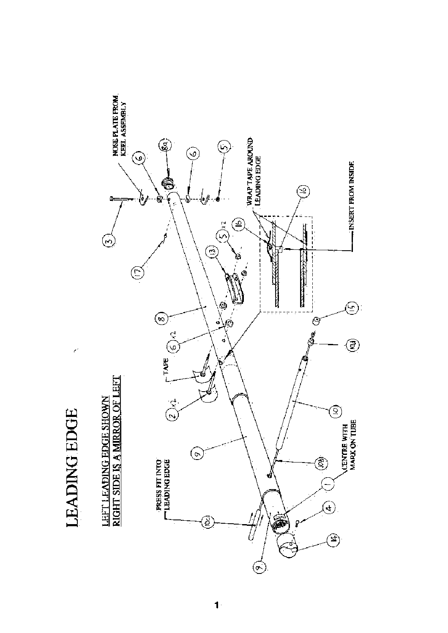

**LEADING EDGE** 

Ż,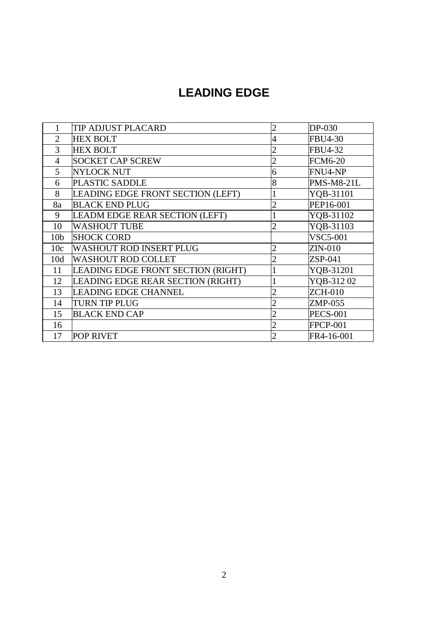## **LEADING EDGE**

|                 | TIP ADJUST PLACARD                 | $\overline{c}$ | DP-030            |
|-----------------|------------------------------------|----------------|-------------------|
| 2               | <b>HEX BOLT</b>                    | $\overline{4}$ | <b>FBU4-30</b>    |
| 3               | <b>HEX BOLT</b>                    | $\overline{2}$ | <b>FBU4-32</b>    |
| $\overline{4}$  | <b>SOCKET CAP SCREW</b>            | $\overline{c}$ | <b>FCM6-20</b>    |
| 5               | <b>NYLOCK NUT</b>                  | 6              | FNU4-NP           |
| 6               | <b>PLASTIC SADDLE</b>              | 8              | <b>PMS-M8-21L</b> |
| 8               | LEADING EDGE FRONT SECTION (LEFT)  |                | YQB-31101         |
| 8a              | <b>BLACK END PLUG</b>              | $\overline{2}$ | PEP16-001         |
| 9               | LEADM EDGE REAR SECTION (LEFT)     |                | YQB-31102         |
| 10              | <b>WASHOUT TUBE</b>                | $\overline{c}$ | YQB-31103         |
| 10 <sub>b</sub> | <b>SHOCK CORD</b>                  |                | <b>VSC5-001</b>   |
| 10c             | <b>WASHOUT ROD INSERT PLUG</b>     | $\overline{c}$ | ZIN-010           |
| 10d             | <b>WASHOUT ROD COLLET</b>          | $\overline{2}$ | ZSP-041           |
| 11              | LEADING EDGE FRONT SECTION (RIGHT) |                | YQB-31201         |
| 12              | LEADING EDGE REAR SECTION (RIGHT)  |                | YQB-31202         |
| 13              | <b>LEADING EDGE CHANNEL</b>        | $\overline{2}$ | <b>ZCH-010</b>    |
| 14              | <b>TURN TIP PLUG</b>               | $\overline{2}$ | ZMP-055           |
| 15              | <b>BLACK END CAP</b>               | $\overline{2}$ | <b>PECS-001</b>   |
| 16              |                                    | $\overline{2}$ | <b>FPCP-001</b>   |
| 17              | <b>POP RIVET</b>                   | $\overline{2}$ | FR4-16-001        |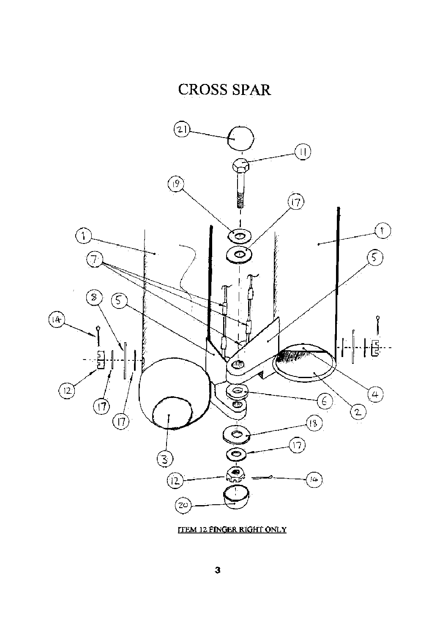# **CROSS SPAR**



**TTEM 12 FINGER RIGHT ONLY**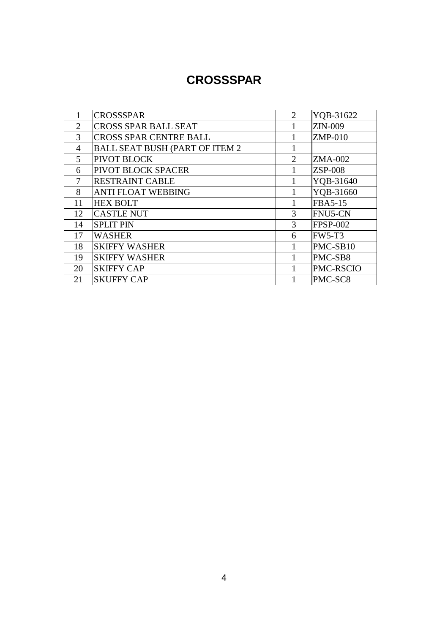#### **CROSSSPAR**

|                | <b>CROSSSPAR</b>                      | $\overline{2}$ | YQB-31622        |
|----------------|---------------------------------------|----------------|------------------|
| 2              | <b>CROSS SPAR BALL SEAT</b>           |                | ZIN-009          |
| 3              | <b>CROSS SPAR CENTRE BALL</b>         |                | $ZMP-010$        |
| $\overline{4}$ | <b>BALL SEAT BUSH (PART OF ITEM 2</b> |                |                  |
| 5              | <b>PIVOT BLOCK</b>                    | $\overline{2}$ | ZMA-002          |
| 6              | PIVOT BLOCK SPACER                    |                | $ZSP-008$        |
| 7              | <b>RESTRAINT CABLE</b>                |                | YQB-31640        |
| 8              | <b>ANTI FLOAT WEBBING</b>             |                | YQB-31660        |
| 11             | <b>HEX BOLT</b>                       |                | <b>FBA5-15</b>   |
| 12             | <b>CASTLE NUT</b>                     | 3              | FNU5-CN          |
| 14             | <b>SPLIT PIN</b>                      | 3              | <b>FPSP-002</b>  |
| 17             | <b>WASHER</b>                         | 6              | <b>FW5-T3</b>    |
| 18             | <b>SKIFFY WASHER</b>                  |                | PMC-SB10         |
| 19             | <b>SKIFFY WASHER</b>                  |                | PMC-SB8          |
| 20             | <b>SKIFFY CAP</b>                     |                | <b>PMC-RSCIO</b> |
| 21             | <b>SKUFFY CAP</b>                     |                | PMC-SC8          |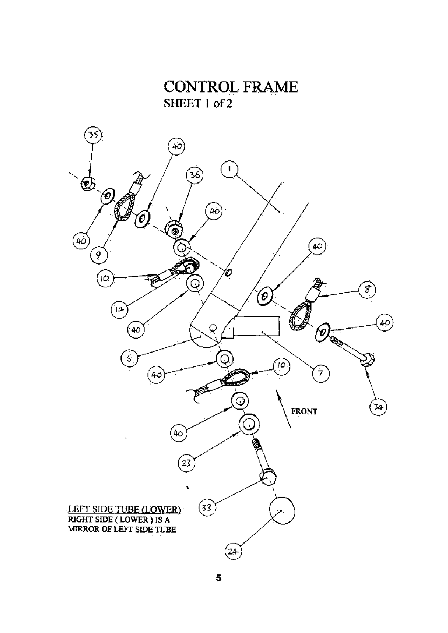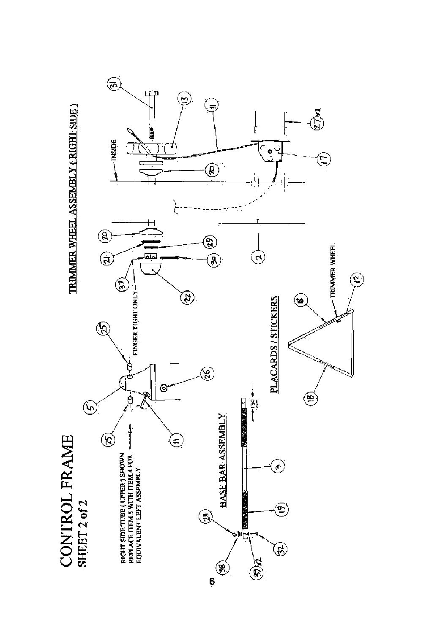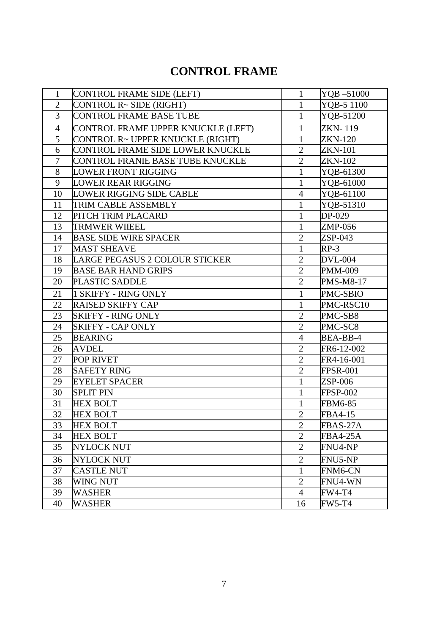#### **CONTROL FRAME**

| I               | CONTROL FRAME SIDE (LEFT)          | $\mathbf{1}$   | YQB-51000        |
|-----------------|------------------------------------|----------------|------------------|
| $\overline{2}$  | CONTROL R~ SIDE (RIGHT)            | $\mathbf{1}$   | YQB-5 1100       |
| 3               | <b>CONTROL FRAME BASE TUBE</b>     | $\mathbf{1}$   | YQB-51200        |
| $\overline{4}$  | CONTROL FRAME UPPER KNUCKLE (LEFT) | $\mathbf{1}$   | <b>ZKN-119</b>   |
| 5               | CONTROL R~ UPPER KNUCKLE (RIGHT)   | $\mathbf{1}$   | <b>ZKN-120</b>   |
| 6               | CONTROL FRAME SIDE LOWER KNUCKLE   | $\overline{2}$ | <b>ZKN-101</b>   |
| $\overline{7}$  | CONTROL FRANIE BASE TUBE KNUCKLE   | $\overline{2}$ | <b>ZKN-102</b>   |
| 8               | <b>LOWER FRONT RIGGING</b>         | $\mathbf{1}$   | YQB-61300        |
| 9               | <b>LOWER REAR RIGGING</b>          | 1              | YQB-61000        |
| 10              | <b>LOWER RIGGING SIDE CABLE</b>    | $\overline{4}$ | YQB-61100        |
| 11              | TRIM CABLE ASSEMBLY                | $\mathbf{1}$   | YQB-51310        |
| 12              | PITCH TRIM PLACARD                 | $\mathbf{1}$   | DP-029           |
| 13              | <b>TRMWER WIIEEL</b>               | $\mathbf{1}$   | ZMP-056          |
| 14              | <b>BASE SIDE WIRE SPACER</b>       | $\overline{2}$ | $ZSP-043$        |
| 17              | <b>MAST SHEAVE</b>                 | $\mathbf{1}$   | $RP-3$           |
| 18              | LARGE PEGASUS 2 COLOUR STICKER     | $\overline{2}$ | <b>DVL-004</b>   |
| 19              | <b>BASE BAR HAND GRIPS</b>         | $\overline{2}$ | <b>PMM-009</b>   |
| 20              | <b>PLASTIC SADDLE</b>              | $\overline{2}$ | <b>PMS-M8-17</b> |
| 21              | 1 SKIFFY - RING ONLY               | $\mathbf{1}$   | PMC-SBIO         |
| 22              | <b>RAISED SKIFFY CAP</b>           | $\mathbf{1}$   | PMC-RSC10        |
| 23              | <b>SKIFFY - RING ONLY</b>          | $\overline{2}$ | PMC-SB8          |
| 24              | <b>SKIFFY - CAP ONLY</b>           | $\overline{2}$ | PMC-SC8          |
| 25              | <b>BEARING</b>                     | $\overline{4}$ | BEA-BB-4         |
| 26              | <b>AVDEL</b>                       | $\overline{2}$ | FR6-12-002       |
| 27              | <b>POP RIVET</b>                   | $\overline{2}$ | FR4-16-001       |
| 28              | <b>SAFETY RING</b>                 | $\overline{2}$ | <b>FPSR-001</b>  |
| 29              | <b>EYELET SPACER</b>               | $\mathbf{1}$   | <b>ZSP-006</b>   |
| $\overline{30}$ | <b>SPLIT PIN</b>                   | $\mathbf{1}$   | <b>FPSP-002</b>  |
| 31              | <b>HEX BOLT</b>                    | $\mathbf{1}$   | <b>FBM6-85</b>   |
| 32              | <b>HEX BOLT</b>                    | $\overline{2}$ | FBA4-15          |
| 33              | <b>HEX BOLT</b>                    | $\overline{2}$ | $FBAS-27A$       |
| 34              | <b>HEX BOLT</b>                    | $\overline{2}$ | <b>FBA4-25A</b>  |
| 35              | <b>NYLOCK NUT</b>                  | $\overline{2}$ | FNU4-NP          |
| 36              | <b>NYLOCK NUT</b>                  | $\overline{2}$ | FNU5-NP          |
| 37              | <b>CASTLE NUT</b>                  | 1              | FNM6-CN          |
| 38              | WING NUT                           | $\overline{2}$ | FNU4-WN          |
| 39              | <b>WASHER</b>                      | $\overline{4}$ | <b>FW4-T4</b>    |
| 40              | <b>WASHER</b>                      | 16             | <b>FW5-T4</b>    |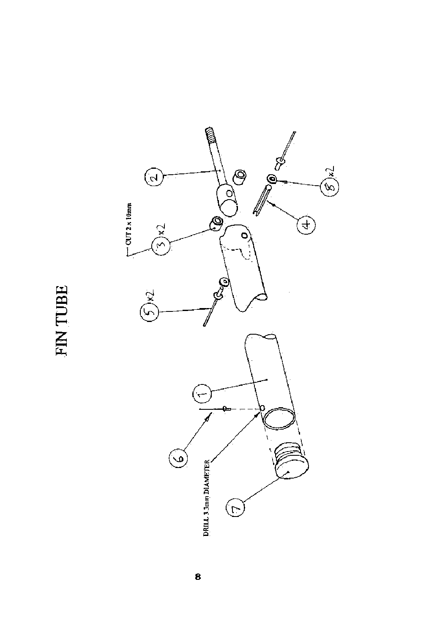FIN TUBE

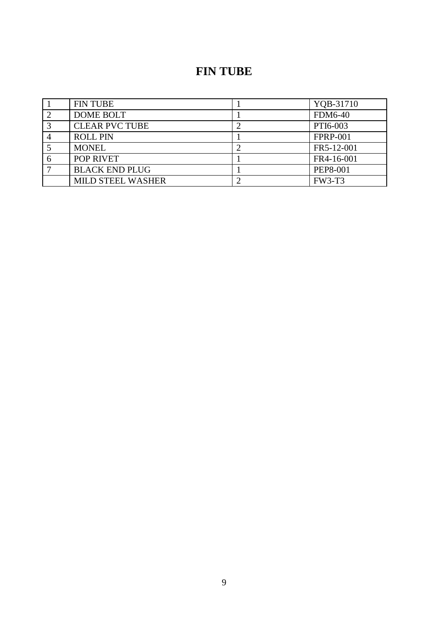## **FIN TUBE**

| <b>FIN TUBE</b>          | YQB-31710       |
|--------------------------|-----------------|
| <b>DOME BOLT</b>         | <b>FDM6-40</b>  |
| <b>CLEAR PVC TUBE</b>    | PTI6-003        |
| <b>ROLL PIN</b>          | <b>FPRP-001</b> |
| <b>MONEL</b>             | FR5-12-001      |
| POP RIVET                | FR4-16-001      |
| <b>BLACK END PLUG</b>    | <b>PEP8-001</b> |
| <b>MILD STEEL WASHER</b> | <b>FW3-T3</b>   |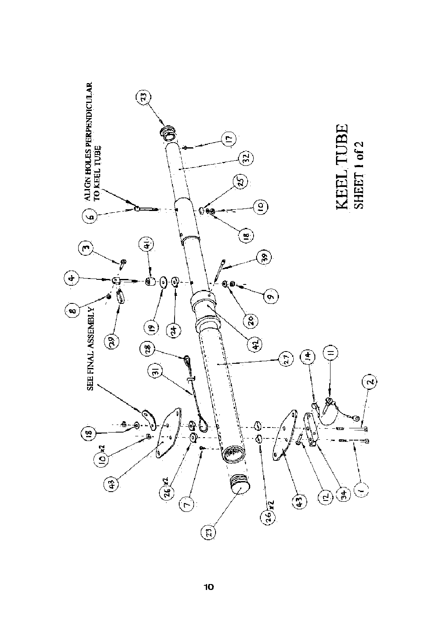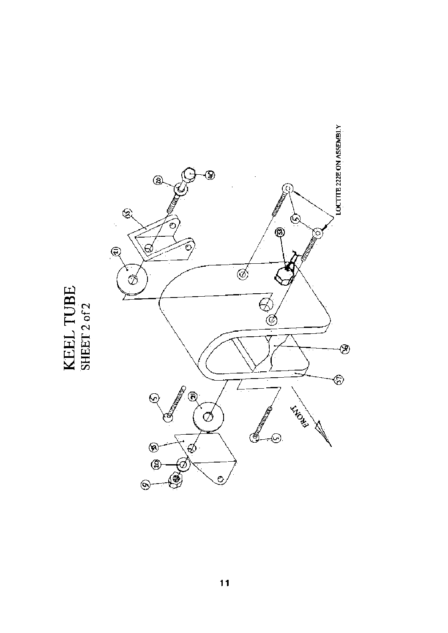

KEEL TUBE<br>SHEET2 of 2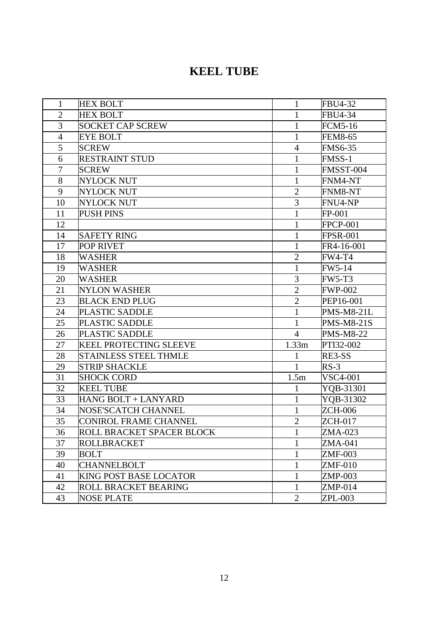| $\mathbf{1}$   | <b>HEX BOLT</b>               | $\mathbf{1}$   | <b>FBU4-32</b>    |
|----------------|-------------------------------|----------------|-------------------|
| $\overline{2}$ | <b>HEX BOLT</b>               | $\mathbf{1}$   | FBU4-34           |
| 3              | <b>SOCKET CAP SCREW</b>       | $\mathbf{1}$   | <b>FCM5-16</b>    |
| $\overline{4}$ | <b>EYE BOLT</b>               | $\mathbf{1}$   | <b>FEM8-65</b>    |
| 5              | <b>SCREW</b>                  | $\overline{4}$ | <b>FMS6-35</b>    |
| 6              | <b>RESTRAINT STUD</b>         | 1              | FMSS-1            |
| $\overline{7}$ | <b>SCREW</b>                  | $\mathbf{1}$   | FMSST-004         |
| 8              | <b>NYLOCK NUT</b>             | 1              | FNM4-NT           |
| 9              | <b>NYLOCK NUT</b>             | $\overline{2}$ | FNM8-NT           |
| 10             | <b>NYLOCK NUT</b>             | $\overline{3}$ | FNU4-NP           |
| 11             | <b>PUSH PINS</b>              | 1              | FP-001            |
| 12             |                               | 1              | <b>FPCP-001</b>   |
| 14             | <b>SAFETY RING</b>            | 1              | <b>FPSR-001</b>   |
| 17             | <b>POP RIVET</b>              | $\mathbf{1}$   | FR4-16-001        |
| 18             | <b>WASHER</b>                 | $\overline{2}$ | <b>FW4-T4</b>     |
| 19             | <b>WASHER</b>                 | $\mathbf{1}$   | FW5-14            |
| 20             | <b>WASHER</b>                 | $\overline{3}$ | <b>FW5-T3</b>     |
| 21             | <b>NYLON WASHER</b>           | $\overline{2}$ | <b>FWP-002</b>    |
| 23             | <b>BLACK END PLUG</b>         | $\overline{2}$ | PEP16-001         |
| 24             | PLASTIC SADDLE                | 1              | <b>PMS-M8-21L</b> |
| 25             | <b>PLASTIC SADDLE</b>         | $\mathbf{1}$   | <b>PMS-M8-21S</b> |
| 26             | PLASTIC SADDLE                | $\overline{4}$ | <b>PMS-M8-22</b>  |
| 27             | <b>KEEL PROTECTING SLEEVE</b> | 1.33m          | PTI32-002         |
| 28             | <b>STAINLESS STEEL THMLE</b>  | 1              | RE3-SS            |
| 29             | <b>STRIP SHACKLE</b>          | 1              | $RS-3$            |
| 31             | <b>SHOCK CORD</b>             | 1.5m           | <b>VSC4-001</b>   |
| 32             | <b>KEEL TUBE</b>              | $\mathbf{1}$   | YQB-31301         |
| 33             | HANG BOLT + LANYARD           | $\mathbf{1}$   | YQB-31302         |
| 34             | NOSE'SCATCH CHANNEL           | $\mathbf{1}$   | <b>ZCH-006</b>    |
| 35             | <b>CONIROL FRAME CHANNEL</b>  | $\overline{2}$ | <b>ZCH-017</b>    |
| 36             | ROLL BRACKET SPACER BLOCK     |                | ZMA-023           |
| 37             | <b>ROLLBRACKET</b>            | 1              | ZMA-041           |
| 39             | <b>BOLT</b>                   | 1              | <b>ZMF-003</b>    |
| 40             | <b>CHANNELBOLT</b>            | $\mathbf{1}$   | <b>ZMF-010</b>    |
| 41             | <b>KING POST BASE LOCATOR</b> | 1              | ZMP-003           |
| 42             | <b>ROLL BRACKET BEARING</b>   | $\mathbf{1}$   | $ZMP-014$         |
| 43             | <b>NOSE PLATE</b>             | $\overline{2}$ | ZPL-003           |

## **KEEL TUBE**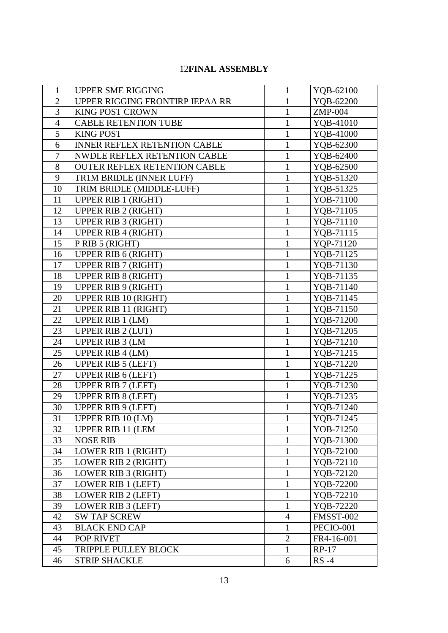#### 12**FINAL ASSEMBLY**

| $\mathbf{1}$   | <b>UPPER SME RIGGING</b>            | 1                            | YQB-62100              |
|----------------|-------------------------------------|------------------------------|------------------------|
| $\overline{2}$ | UPPER RIGGING FRONTIRP IEPAA RR     | $\mathbf{1}$                 | YQB-62200              |
| 3              | <b>KING POST CROWN</b>              | $\mathbf{1}$                 | $ZMP-004$              |
| $\overline{4}$ | <b>CABLE RETENTION TUBE</b>         | $\mathbf{1}$                 | YQB-41010              |
| 5              | <b>KING POST</b>                    | $\mathbf{1}$                 | YQB-41000              |
| 6              | INNER REFLEX RETENTION CABLE        | $\mathbf{1}$                 | YQB-62300              |
| $\tau$         | NWDLE REFLEX RETENTION CABLE        | $\mathbf{1}$                 | YQB-62400              |
| 8              | <b>OUTER REFLEX RETENTION CABLE</b> | $\mathbf{1}$                 | YQB-62500              |
| 9              | TR1M BRIDLE (INNER LUFF)            | $\mathbf{1}$                 | YQB-51320              |
| 10             | TRIM BRIDLE (MIDDLE-LUFF)           | $\mathbf{1}$                 | YQB-51325              |
| 11             | <b>UPPER RIB 1 (RIGHT)</b>          | $\mathbf{1}$                 | YOB-71100              |
| 12             | <b>UPPER RIB 2 (RIGHT)</b>          | $\mathbf{1}$                 | YQB-71105              |
| 13             | <b>UPPER RIB 3 (RIGHT)</b>          | $\mathbf{1}$                 | YQB-71110              |
| 14             | <b>UPPER RIB 4 (RIGHT)</b>          | $\mathbf{1}$                 | YQB-71115              |
| 15             | P RIB 5 (RIGHT)                     | $\mathbf{1}$                 | YQP-71120              |
| 16             | <b>UPPER RIB 6 (RIGHT)</b>          | $\mathbf{1}$                 | YQB-71125              |
| 17             | <b>UPPER RIB 7 (RIGHT)</b>          | $\mathbf{1}$                 | YQB-71130              |
| 18             | <b>UPPER RIB 8 (RIGHT)</b>          | $\mathbf{1}$                 | YQB-71135              |
| 19             | <b>UPPER RIB 9 (RIGHT)</b>          | $\mathbf{1}$                 |                        |
| 20             | <b>UPPER RIB 10 (RIGHT)</b>         | $\mathbf{1}$                 | YQB-71140<br>YQB-71145 |
| 21             | UPPER RIB 11 (RIGHT)                |                              |                        |
| 22             |                                     | $\mathbf{1}$                 | YQB-71150              |
| 23             | <b>UPPER RIB 1 (LM)</b>             | $\mathbf{1}$<br>$\mathbf{1}$ | YQB-71200              |
|                | <b>UPPER RIB 2 (LUT)</b>            |                              | YQB-71205              |
| 24<br>25       | <b>UPPER RIB 3 (LM</b>              | $\mathbf{1}$<br>$\mathbf{1}$ | YQB-71210              |
|                | <b>UPPER RIB 4 (LM)</b>             |                              | YQB-71215              |
| 26             | <b>UPPER RIB 5 (LEFT)</b>           | $\mathbf{1}$                 | YQB-71220              |
| 27             | <b>UPPER RIB 6 (LEFT)</b>           | $\mathbf{1}$                 | YQB-71225              |
| 28             | <b>UPPER RIB 7 (LEFT)</b>           | $\mathbf{1}$                 | YQB-71230              |
| 29             | <b>UPPER RIB 8 (LEFT)</b>           | $\mathbf{1}$                 | YQB-71235              |
| 30             | <b>UPPER RIB 9 (LEFT)</b>           | $\mathbf{1}$                 | YQB-71240              |
| 31             | UPPER RIB 10 (LM)                   |                              | YQB-71245              |
| 32             | <b>UPPER RIB 11 (LEM</b>            | 1                            | YOB-71250              |
| 33             | <b>NOSE RIB</b>                     | $\mathbf{1}$                 | YQB-71300              |
| 34             | <b>LOWER RIB 1 (RIGHT)</b>          | $\mathbf{1}$                 | YQB-72100              |
| 35             | <b>LOWER RIB 2 (RIGHT)</b>          | $\mathbf{1}$                 | YQB-72110              |
| 36             | LOWER RIB 3 (RIGHT)                 | $\mathbf{1}$                 | YQB-72120              |
| 37             | LOWER RIB 1 (LEFT)                  | $\mathbf{1}$                 | YQB-72200              |
| 38             | LOWER RIB 2 (LEFT)                  | $\mathbf{1}$                 | YQB-72210              |
| 39             | LOWER RIB 3 (LEFT)                  | $\mathbf{1}$                 | YQB-72220              |
| 42             | <b>SW TAP SCREW</b>                 | $\overline{4}$               | FMSST-002              |
| 43             | <b>BLACK END CAP</b>                | $\mathbf{1}$                 | PECIO-001              |
| 44             | POP RIVET                           | $\overline{2}$               | FR4-16-001             |
| 45             | TRIPPLE PULLEY BLOCK                | $\mathbf{1}$                 | $RP-17$                |
| 46             | <b>STRIP SHACKLE</b>                | 6                            | $RS -4$                |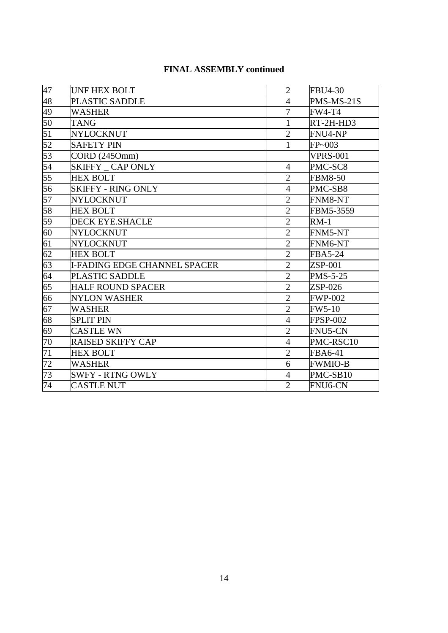| 47              | <b>UNF HEX BOLT</b>          | $\overline{2}$ | <b>FBU4-30</b>  |
|-----------------|------------------------------|----------------|-----------------|
| 48              | PLASTIC SADDLE               | $\overline{4}$ | PMS-MS-21S      |
| 49              | <b>WASHER</b>                | $\overline{7}$ | <b>FW4-T4</b>   |
| $\overline{50}$ | <b>TANG</b>                  | $\mathbf{1}$   | RT-2H-HD3       |
| 51              | <b>NYLOCKNUT</b>             | $\overline{2}$ | FNU4-NP         |
| 52              | <b>SAFETY PIN</b>            | $\mathbf{1}$   | $FP \sim 003$   |
| 53              | CORD(2450mm)                 |                | <b>VPRS-001</b> |
| 54              | SKIFFY CAP ONLY              | $\overline{4}$ | PMC-SC8         |
| 55              | <b>HEX BOLT</b>              | $\overline{2}$ | <b>FBM8-50</b>  |
| 56              | <b>SKIFFY - RING ONLY</b>    | $\overline{4}$ | PMC-SB8         |
| 57              | NYLOCKNUT                    | $\overline{2}$ | <b>FNM8-NT</b>  |
| 58              | <b>HEX BOLT</b>              | $\overline{2}$ | FBM5-3559       |
| 59              | <b>DECK EYE.SHACLE</b>       | $\overline{2}$ | $RM-1$          |
| 60              | <b>NYLOCKNUT</b>             | $\mathbf{2}$   | FNM5-NT         |
| 61              | NYLOCKNUT                    | $\overline{2}$ | FNM6-NT         |
| 62              | <b>HEX BOLT</b>              | $\overline{2}$ | <b>FBA5-24</b>  |
| 63              | I-FADING EDGE CHANNEL SPACER | $\overline{2}$ | $ZSP-001$       |
| 64              | <b>PLASTIC SADDLE</b>        | $\overline{2}$ | <b>PMS-5-25</b> |
| 65              | <b>HALF ROUND SPACER</b>     | $\overline{2}$ | $ZSP-026$       |
| 66              | <b>NYLON WASHER</b>          | $\overline{2}$ | <b>FWP-002</b>  |
| 67              | <b>WASHER</b>                | $\overline{2}$ | <b>FW5-10</b>   |
| 68              | <b>SPLIT PIN</b>             | $\overline{4}$ | <b>FPSP-002</b> |
| 69              | <b>CASTLE WN</b>             | $\overline{2}$ | <b>FNU5-CN</b>  |
| 70              | <b>RAISED SKIFFY CAP</b>     | $\overline{4}$ | PMC-RSC10       |
| 71              | <b>HEX BOLT</b>              | $\overline{2}$ | <b>FBA6-41</b>  |
| $\overline{72}$ | <b>WASHER</b>                | 6              | <b>FWMIO-B</b>  |
| 73              | <b>SWFY - RTNG OWLY</b>      | $\overline{4}$ | PMC-SB10        |
| 74              | <b>CASTLE NUT</b>            | $\overline{2}$ | FNU6-CN         |

#### **FINAL ASSEMBLY continued**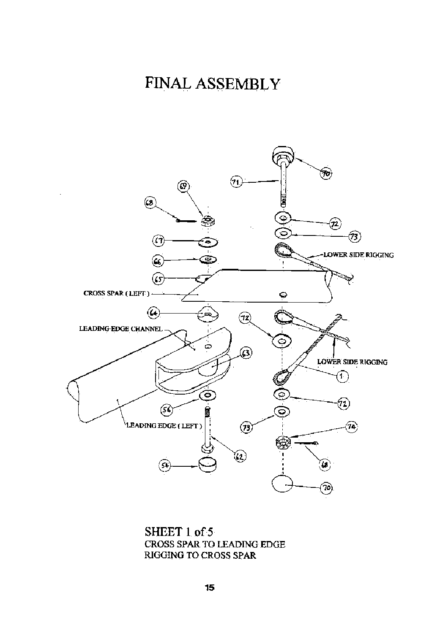## FINAL ASSEMBLY



SHEET 1 of 5 CROSS SPAR TO LEADING EDGE RIGGING TO CROSS SPAR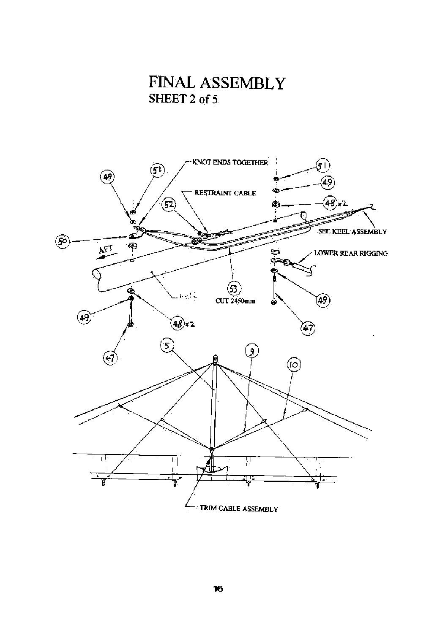

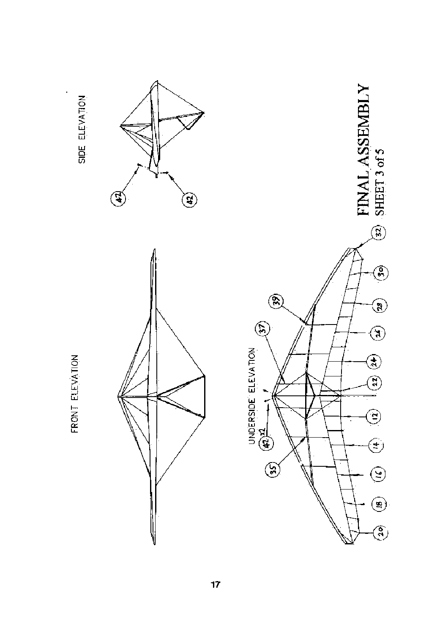

FRONT ELEVATION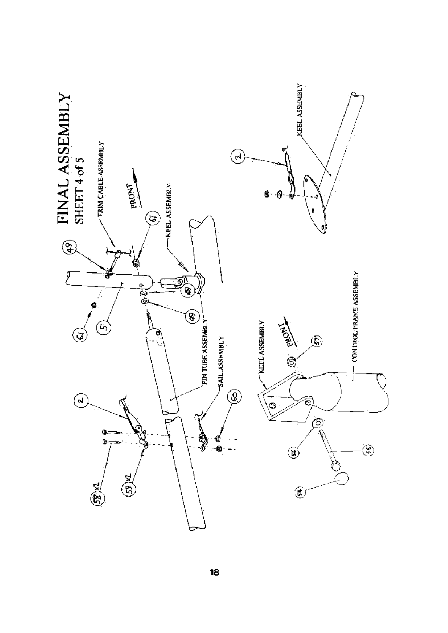